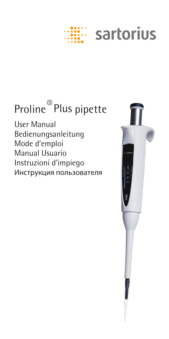# sartorius

## Proline ®Plus pipette

User Manual Bedienungsanleitung Mode d'emploi Manual Usuario Instruzioni d'impiego Инструкция пользователя

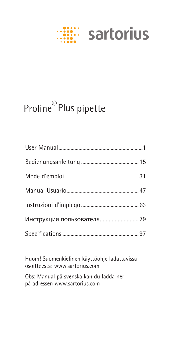# **EXAMPLE Sartorius**

## Proline®Plus pipette

Huom! Suomenkielinen käyttöohje ladattavissa osoitteesta: www.sartorius.com

Obs: Manual på svenska kan du ladda ner på adressen www.sartorius.com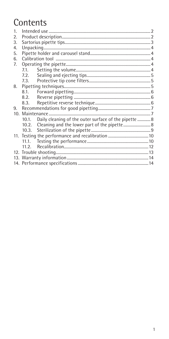## Contents

| $\mathbf{1}$    |       |                                                       |  |  |  |
|-----------------|-------|-------------------------------------------------------|--|--|--|
| 2.              |       |                                                       |  |  |  |
| 3.              |       |                                                       |  |  |  |
| 4.              |       |                                                       |  |  |  |
| 5.              |       |                                                       |  |  |  |
| 6.              |       |                                                       |  |  |  |
| 7.              |       |                                                       |  |  |  |
|                 | 7.1.  |                                                       |  |  |  |
|                 | 7.2.  |                                                       |  |  |  |
|                 |       |                                                       |  |  |  |
| 8.              |       |                                                       |  |  |  |
|                 | 8.1.  |                                                       |  |  |  |
|                 | 8.2.  |                                                       |  |  |  |
|                 | 8.3.  |                                                       |  |  |  |
| 9.              |       |                                                       |  |  |  |
| 10 <sup>1</sup> |       |                                                       |  |  |  |
|                 | 10.1. | Daily cleaning of the outer surface of the pipette  8 |  |  |  |
|                 |       | 10.2. Cleaning and the lower part of the pipette 8    |  |  |  |
|                 | 10.3. |                                                       |  |  |  |
|                 |       |                                                       |  |  |  |
|                 |       |                                                       |  |  |  |
|                 | 11.2. |                                                       |  |  |  |
|                 |       |                                                       |  |  |  |
|                 |       |                                                       |  |  |  |
|                 |       |                                                       |  |  |  |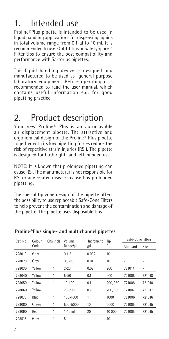## 1. Intended use

Proline®Plus pipette is intended to be used in liquid handling applications for dispensing liquids in total volume range from 0,1 µl to 10 ml. It is recommended to use Optifit tips or SafetySpace™ Filter tips to ensure the best compatibility and performance with Sartorius pipettes.

This liquid handling device is designed and manufactured to be used as general purpose laboratory equipment. Before operating it is recommended to read the user manual, which contains useful information e.g. for good pipetting practice.

## 2. Product description

Your new Proline® Plus is an autoclavable air displacement pipette. The attractive and ergonomical design of the Proline® Plus pipette together with its low pipetting forces reduce the risk of repetitive strain injuries (RSI). The pipette is designed for both right- and left-handed use.

NOTE: It is known that prolonged pipetting can cause RSI. The manufacturer is not responsible for RSI or any related diseases caused by prolonged pipetting.

The special tip cone design of the pipette offers the possibility to use replaceable Safe-Cone Filters to help prevent the contamination and damage of the pipette. The pipette uses disposable tips.

| Cat. No. | Colour<br>Code | Channels | Volume<br>Range/µl | Increment<br>/µl | Tip<br>/µl | Safe-Cone Filters |        |
|----------|----------------|----------|--------------------|------------------|------------|-------------------|--------|
|          |                |          |                    |                  |            | Standard          | Plus   |
| 728010   | Grey           |          | $0.1 - 3$          | 0.002            | 10         |                   |        |
| 728020   | Grey           |          | $0.5 - 10$         | 0.01             | 10         | -                 |        |
| 728030   | Yellow         | 1        | $2 - 20$           | 0.02             | 200        | 721014            |        |
| 728040   | Yellow         | 1        | $5 - 50$           | 0.1              | 200        | 721008            | 721018 |
| 728050   | Yellow         | 1        | 10-100             | 0.1              | 200.350    | 721008            | 721018 |
| 728060   | Yellow         |          | 20-200             | 0.2              | 200, 350   | 721007            | 721017 |
| 728070   | Blue           |          | 100-1000           |                  | 1000       | 721006            | 721016 |
| 728080   | Green          |          | 500-5000           | 10               | 5000       | 721005            | 721015 |
| 728090   | Red            | 1        | $1-10$ ml          | 20               | 10 000     | 721005            | 721015 |
| 728515   | Grev           | 1        | 5                  |                  | 10         |                   |        |

#### Proline®Plus single- and multichannel pipettes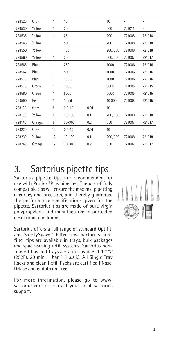| 728520 | Grey   | 1  | 10              |      | 10       | -      |        |
|--------|--------|----|-----------------|------|----------|--------|--------|
| 728530 | Yellow | 1  | 20              |      | 200      | 721014 |        |
| 728535 | Yellow | 1  | 25              |      | 200      | 721008 | 721018 |
| 728545 | Yellow | 1  | 50              |      | 200      | 721008 | 721018 |
| 728550 | Yellow | 1  | 100             |      | 200, 350 | 721008 | 721018 |
| 728560 | Yellow | 1  | 200             |      | 200, 350 | 721007 | 721017 |
| 728565 | Blue   | 1  | 250             |      | 1000     | 721006 | 721016 |
| 728567 | Blue   | 1  | 500             |      | 1000     | 721006 | 721016 |
| 728570 | Blue   | 1  | 1000            |      | 1000     | 721006 | 721016 |
| 728575 | Green  | 1  | 2000            |      | 5000     | 721005 | 721015 |
| 728580 | Green  | 1  | 5000            |      | 5000     | 721005 | 721015 |
| 728590 | Red    | 1  | 10 <sub>m</sub> |      | 10 000   | 721005 | 721015 |
| 728120 | Grey   | 8  | $0.5 - 10$      | 0.01 | 10       | -      |        |
| 728130 | Yellow | 8  | $10 - 100$      | 0.1  | 200, 350 | 721008 | 721018 |
| 728140 | Orange | 8  | 30-300          | 0.2  | 350      | 721007 | 721017 |
| 728220 | Grey   | 12 | $0.5 - 10$      | 0.01 | 10       | -      |        |
| 728230 | Yellow | 12 | $10 - 100$      | 0.1  | 200, 350 | 721008 | 721018 |
| 728240 | Orange | 12 | $30 - 300$      | 0.2  | 350      | 721007 | 721017 |

## 3. Sartorius pipette tips

Sartorius pipette tips are recommended for use with Proline®Plus pipettes. The use of fully compatible tips will ensure the maximal pipetting accuracy and precision, and thereby guarantee the performance specifications given for the pipette. Sartorius tips are made of pure virgin polypropylene and manufactured in protected clean room conditions.

Sartorius offers a full range of standard Optifit, and SafetySpace™ Filter tips. Sartorius nonfilter tips are available in trays, bulk packages and space-saving refill systems. Sartorius nonfiltered tips and trays are autoclavable at 121°C (252F), 20 min, 1 bar (15 p.s.i.). All Single Tray Racks and clean Refill Packs are certified RNase, DNase and endotoxin-free.

For more information, please go to www. sartorius.com or contact your local Sartorius support.

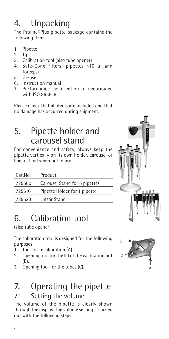## 4. Unpacking

The Proline®Plus pipette package contains the following items:

- 1. Pipette
- 2. Tip
- Calibration tool (also tube opener)
- 4. Safe-Cone filters (pipettes >10 µl and forceps)
- 5. Grease
- 6. Instruction manual
- 7. Performance certification in accordance with ISO 8655-6

Please check that all items are included and that no damage has occurred during shipment.

## 5. Pipette holder and carousel stand

For convenience and safety, always keep the pipette vertically on its own holder, carousel or linear stand when not in use.

| Cat.No. | Product                       |
|---------|-------------------------------|
| 725600  | Carousel Stand for 6 pipettes |
| 725610  | Pipette Holder for 1 pipette  |
| 725620  | Linear Stand                  |

## 6. Calibration tool

(also tube opener)

The calibration tool is designed for the following purposes:

- 1. Tool for recalibration (A).
- 2. Opening tool for the lid of the calibration nut (B).
- 3. Opening tool for the tubes (C).

## 7. Operating the pipette 7.1. Setting the volume

The volume of the pipette is clearly shown through the display. The volume setting is carried out with the following steps:



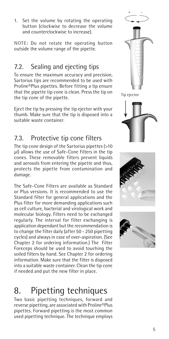1. Set the volume by rotating the operating button (clockwise to decrease the volume and counterclockwise to increase).

NOTE: Do not rotate the operating button outside the volume range of the pipette.

### 7.2. Sealing and ejecting tips

To ensure the maximum accuracy and precision, Sartorius tips are recommended to be used with Proline®Plus pipettes. Before fitting a tip ensure that the pipette tip cone is clean. Press the tip on the tip cone of the pipette.

Eject the tip by pressing the tip ejector with your thumb. Make sure that the tip is disposed into a suitable waste container.

### 7.3. Protective tip cone filters

The tip cone design of the Sartorius pipettes (>10 µl) allows the use of Safe-Cone Filters in the tip cones. These removable filters prevent liquids and aerosols from entering the pipette and thus, protects the pipette from contamination and damage.

The Safe-Cone Filters are available as Standard or Plus versions. It is recommended to use the Standard filter for general applications and the Plus filter for more demanding applications such as cell culture, bacterial and virological work and molecular biology. Filters need to be exchanged regularly. The interval for filter exchanging is application dependant but the recommendation is to change the filter daily (after 50 - 250 pipetting cycles) and always in case of over-aspiration. (See Chapter 2 for ordering information.) The Filter Foreceps should be used to avoid touching the soiled filters by hand. See Chapter 2 for ordering information. Make sure that the filter is disposed into a suitable waste container. Clean the tip cone if needed and put the new filter in place.

## 8. Pipetting techniques

Two basic pipetting techniques, forward and reverse pipetting, are associated with Proline®Plus pipettes. Forward pipetting is the most common used pipetting technique. The technique employs





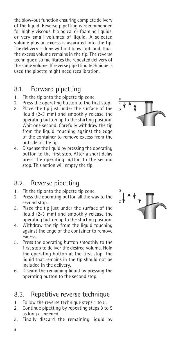the blow-out function ensuring complete delivery of the liquid. Reverse pipetting is recommended for highly viscous, biological or foaming liquids, or very small volumes of liquid. A selected volume plus an excess is aspirated into the tip. The delivery is done without blow-out, and, thus, the excess volume remains in the tip. The reverse technique also facilitates the repeated delivery of the same volume. If reverse pipetting technique is used the pipette might need recalibration.

#### 8.1. Forward pipetting

- 1. Fit the tip onto the pipette tip cone.
- 2. Press the operating button to the first stop.
- 3. Place the tip just under the surface of the liquid (2-3 mm) and smoothly release the operating button up to the starting position. Wait one second. Carefully withdraw the tip from the liquid, touching against the edge of the container to remove excess from the outside of the tip.
- 4. Dispense the liquid by pressing the operating button to the first stop. After a short delay press the operating button to the second stop. This action will empty the tip.

#### 8.2. Reverse pipetting

- 1. Fit the tip onto the pipette tip cone.
- 2. Press the operating button all the way to the second stop.
- 3. Place the tip just under the surface of the liquid (2-3 mm) and smoothly release the operating button up to the starting position.
- 4. Withdraw the tip from the liquid touching against the edge of the container to remove excess.
- 5. Press the operating button smoothly to the first stop to deliver the desired volume. Hold the operating button at the first stop. The liquid that remains in the tip should not be included in the delivery.
- 6. Discard the remaining liquid by pressing the operating button to the second stop.

#### 8.3. Repetitive reverse technique

- 1. Follow the reverse technique steps 1 to 5.
- 2. Continue pipetting by repeating steps 3 to 5 as long as needed.
- 3. Finally discard the remaining liquid by



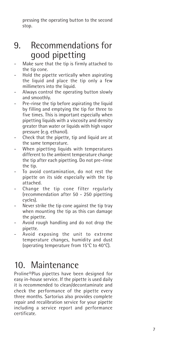pressing the operating button to the second stop.

## 9. Recommendations for good pipetting

- Make sure that the tip is firmly attached to the tip cone.
- Hold the pipette vertically when aspirating the liquid and place the tip only a few millimeters into the liquid.
- Always control the operating button slowly and smoothly.
- Pre-rinse the tip before aspirating the liquid by filling and emptying the tip for three to five times. This is important especially when pipetting liquids with a viscosity and density greater than water or liquids with high vapor pressure (e.g. ethanol).
- Check that the pipette, tip and liquid are at the same temperature.
- When pipetting liquids with temperatures different to the ambient temperature change the tip after each pipetting. Do not pre-rinse the tip.
- To avoid contamination, do not rest the pipette on its side especially with the tip attached.
- Change the tip cone filter regularly (recommendation after 50 - 250 pipetting cycles).
- Never strike the tip cone against the tip tray when mounting the tip as this can damage the pipette.
- Avoid rough handling and do not drop the pipette.
- Avoid exposing the unit to extreme temperature changes, humidity and dust (operating temperature from 15°C to 40°C).

## 10. Maintenance

Proline®Plus pipettes have been designed for easy in-house service. If the pipette is used daily it is recommended to clean/decontaminate and check the performance of the pipette every three months. Sartorius also provides complete repair and recalibration service for your pipette including a service report and performance certificate.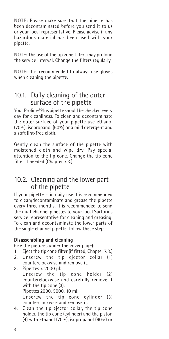NOTE: Please make sure that the pipette has been decontaminated before you send it to us or your local representative. Please advise if any hazardous material has been used with your pipette.

NOTE: The use of the tip cone filters may prolong the service interval. Change the filters regularly.

NOTE: It is recommended to always use gloves when cleaning the pipette.

#### 10.1. Daily cleaning of the outer surface of the pipette

Your Proline®Plus pipette should be checked every day for cleanliness. To clean and decontaminate the outer surface of your pipette use ethanol (70%), isopropanol (60%) or a mild detergent and a soft lint-free cloth.

Gently clean the surface of the pipette with moistened cloth and wipe dry. Pay special attention to the tip cone. Change the tip cone filter if needed (Chapter 7.3.)

#### 10.2. Cleaning and the lower part of the pipette

If your pipette is in daily use it is recommended to clean/decontaminate and grease the pipette every three months. It is recommended to send the multichannel pipettes to your local Sartorius service representative for cleaning and greasing. To clean and decontaminate the lower parts of the single channel pipette, follow these steps:

#### Disassembling and cleaning

(see the pictures under the cover page):

- 1. Eject the tip cone filter (if fitted, Chapter 7.3.)
- 2. Unscrew the tip ejector collar (1) counterclockwise and remove it.
- 3. Pipettes < 2000 µl: Unscrew the tip cone holder (2) counterclockwise and carefully remove it with the tip cone (3). Pipettes 2000, 5000, 10 ml: Unscrew the tip cone cylinder (3) counterclockwise and remove it.
- 4. Clean the tip ejector collar, the tip cone holder, the tip cone (cylinder) and the piston (4) with ethanol (70%), isopropanol (60%) or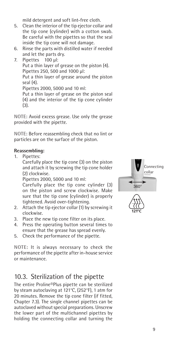mild detergent and soft lint-free cloth.

- 5. Clean the interior of the tip ejector collar and the tip cone (cylinder) with a cotton swab. Be careful with the pipettes so that the seal inside the tip cone will not damage.
- 6. Rinse the parts with distilled water if needed and let the parts dry.
- 7. Pipettes 100 µl: Put a thin layer of grease on the piston (4). Pipettes 250, 500 and 1000 µl: Put a thin layer of grease around the piston seal (4). Pipettes 2000, 5000 and 10 ml: Put a thin layer of grease on the piston seal (4) and the interior of the tip cone cylinder (3).

NOTE: Avoid excess grease. Use only the grease provided with the pipette.

NOTE: Before reassembling check that no lint or particles are on the surface of the piston.

#### Reassembling:

1. Pipettes:

Carefully place the tip cone (3) on the piston and attach it by screwing the tip cone holder (2) clockwise.

Pipettes 2000, 5000 and 10 ml:

Carefully place the tip cone cylinder (3) on the piston and screw clockwise. Make sure that the tip cone (cylinder) is properly tightened. Avoid over-tightening.

- 2. Attach the tip ejector collar (1) by screwing it clockwise.
- 3. Place the new tip cone filter on its place.
- 4. Press the operating button several times to ensure that the grease has spread evenly.
- 5. Check the performance of the pipette.

NOTE: It is always necessary to check the performance of the pipette after in-house service or maintenance.

#### 10.3. Sterilization of the pipette

The entire Proline®Plus pipette can be sterilized by steam autoclaving at 121°C, (252°F), 1 atm for 20 minutes. Remove the tip cone filter (if fitted, Chapter 7.3). The single channel pipettes can be autoclaved without special preparations. Unscrew the lower part of the multichannel pipettes by holding the connecting collar and turning the

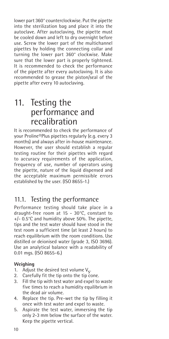lower part 360° counterclockwise. Put the pipette into the sterilization bag and place it into the autoclave. After autoclaving, the pipette must be cooled down and left to dry overnight before use. Screw the lower part of the multichannel pipettes by holding the connecting collar and turning the lower part 360° clockwise. Make sure that the lower part is properly tightened. It is recommended to check the performance of the pipette after every autoclaving. It is also recommended to grease the piston/seal of the pipette after every 10 autoclaving.

## 11. Testing the performance and recalibration

It is recommended to check the performance of your Proline®Plus pipettes regularly (e.g. every 3 months) and always after in-house maintenance. However, the user should establish a regular testing routine for their pipettes with regard to accuracy requirements of the application, frequency of use, number of operators using the pipette, nature of the liquid dispensed and the acceptable maximum permissible errors established by the user. (ISO 8655-1.)

#### 11.1. Testing the performance

Performance testing should take place in a draught-free room at 15 - 30°C, constant to +/- 0.5°C and humidity above 50%. The pipette, tips and the test water should have stood in the test room a sufficient time (at least 2 hours) to reach equilibrium with the room conditions. Use distilled or deionised water (grade 3, ISO 3696). Use an analytical balance with a readability of 0.01 mgs. (ISO 8655-6.)

#### Weighing

- 1. Adjust the desired test volume  $V_s$ .<br>2. Carefully fit the tip onto the tip co
- Carefully fit the tip onto the tip cone.
- 3. Fill the tip with test water and expel to waste five times to reach a humidity equilibrium in the dead air volume.
- 4. Replace the tip. Pre-wet the tip by filling it once with test water and expel to waste.
- 5. Aspirate the test water, immersing the tip only 2-3 mm below the surface of the water. Keep the pipette vertical.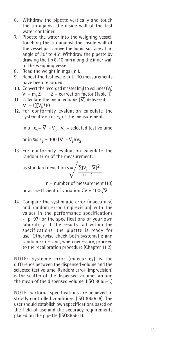- 6. Withdraw the pipette vertically and touch the tip against the inside wall of the test water container.
- 7. Pipette the water into the weighing vessel, touching the tip against the inside wall of the vessel just above the liquid surface at an angle of 30° to 45°. Withdraw the pipette by drawing the tip 8-10 mm along the inner wall of the weighing vessel.
- 8. Read the weight in mgs  $(m_i)$ .
- 9. Repeat the test cycle until 10 measurements have been recorded.
- 10. Convert the recorded masses  $(m_i)$  to volumes  $(V_i)$  $V_i = m_i Z$   $Z = \text{correction factor (Table 1)}$
- 11. Calculate the mean volume  $(\nabla)$  delivered:  $\overline{\nabla} = (\sum V_j)/10$
- 12. For conformity evaluation calculate the systematic error  $e_{s}$  of the measurement:

in  $\mu$ l: e<sub>s</sub>=  $\overline{V}$  - V<sub>s</sub> V<sub>s</sub> = selected test volume

or in %:  $e_s = 100 \left( \overline{V} - V_s \right) / V_s$ 

13. For conformity evaluation calculate the random error of the measurement:

as standard deviation s =  $\frac{1}{2}(V_i - \overline{V})^2$  $\sqrt{\frac{n-1}{n-1}}$ 

 $n =$  number of measurement (10)

or as coefficient of variation CV =  $100s/\overline{V}$ 

14. Compare the systematic error (inaccuracy) and random error (imprecision) with the values in the performance specifications - (p. 97) or the specifications of your own laboratory. If the results fall within the specifications, the pipette is ready for use. Otherwise check both systematic and random errors and, when necessary, proceed to the recalibration procedure (Chapter 11.2).

NOTE: Systemic error (inaccuracy) is the difference between the dispensed volume and the selected test volume. Random error (imprecision) is the scatter of the dispensed volumes around the mean of the dispensed volume. (ISO 8655-1.)

NOTE: Sartorius specifications are achieved in strictly controlled conditions (ISO 8655-6). The user should establish own specifications based on the field of use and the accuracy requirements placed on the pipette (ISO8655-1).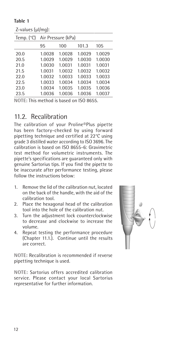#### Table 1

| $L$ -values ( $\mu$ i/iliy). |                    |        |        |        |  |  |
|------------------------------|--------------------|--------|--------|--------|--|--|
| Temp. $(^{\circ}C)$          | Air Pressure (kPa) |        |        |        |  |  |
|                              | 95                 | 100    | 101.3  | 105    |  |  |
| 20.0                         | 1.0028             | 1.0028 | 1.0029 | 1.0029 |  |  |
| 20.5                         | 1.0029             | 1.0029 | 1.0030 | 1.0030 |  |  |
| 21.0                         | 1.0030             | 1.0031 | 1.0031 | 1.0031 |  |  |
| 21.5                         | 1.0031             | 1.0032 | 1.0032 | 1.0032 |  |  |
| 22.0                         | 1.0032             | 1.0033 | 1.0033 | 1.0033 |  |  |
| 22.5                         | 1.0033             | 1.0034 | 1.0034 | 1.0034 |  |  |
| 23.0                         | 1.0034             | 1.0035 | 1.0035 | 1.0036 |  |  |
| 23.5                         | 1.0036             | 1.0036 | 1.0036 | 1.0037 |  |  |
|                              |                    |        |        |        |  |  |

Z-values (µl/mg):

NOTE: This method is based on ISO 8655.

#### 11.2. Recalibration

The calibration of your Proline®Plus pipette has been factory-checked by using forward pipetting technique and certified at 22°C using grade 3 distilled water according to ISO 3696. The calibration is based on ISO 8655-6: Gravimetric test method for volumetric instruments. The pipette's specifications are guaranteed only with genuine Sartorius tips. If you find the pipette to be inaccurate after performance testing, please follow the instructions below:

- 1. Remove the lid of the calibration nut, located on the back of the handle, with the aid of the calibration tool.
- 2. Place the hexagonal head of the calibration tool into the hole of the calibration nut.
- 3. Turn the adjustment lock counterclockwise to decrease and clockwise to increase the volume.
- 4. Repeat testing the performance procedure (Chapter 11.1.). Continue until the results are correct.

NOTE: Recalibration is recommended if reverse pipetting technique is used.

NOTE: Sartorius offers accredited calibration service. Please contact your local Sartorius representative for further information.

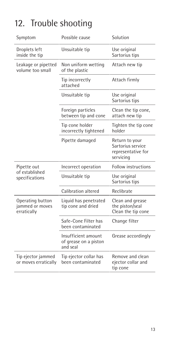## 12. Trouble shooting

| Symptom                                            | Possible cause                                           | Solution                                                               |
|----------------------------------------------------|----------------------------------------------------------|------------------------------------------------------------------------|
| Droplets left<br>inside the tip                    | Unsuitable tip                                           | Use original<br>Sartorius tips                                         |
| Leakage or pipetted<br>volume too small            | Non uniform wetting<br>of the plastic                    | Attach new tip                                                         |
|                                                    | Tip incorrectly<br>attached                              | Attach firmly                                                          |
|                                                    | Unsuitable tip                                           | Use original<br>Sartorius tips                                         |
|                                                    | Foreign particles<br>between tip and cone                | Clean the tip cone,<br>attach new tip                                  |
|                                                    | Tip cone holder<br>incorrectly tightened                 | Tighten the tip cone<br>holder                                         |
|                                                    | Pipette damaged                                          | Return to your<br>Sartorius service<br>representative for<br>servicing |
| Pipette out                                        | Incorrect operation                                      | <b>Follow instructions</b>                                             |
| of established<br>specifications                   | Unsuitable tip                                           | Use original<br>Sartorius tips                                         |
|                                                    | Calibration altered                                      | Reclibrate                                                             |
| Operating button<br>jammed or moves<br>erratically | Liquid has penetrated<br>tip cone and dried              | Clean and grease<br>the piston/seal<br>Clean the tip cone              |
|                                                    | Safe-Cone Filter has<br>been contaminated                | Change filter                                                          |
|                                                    | Insufficient amount<br>of grease on a piston<br>and seal | Grease accordingly                                                     |
| Tip ejector jammed<br>or moves erratically         | Tip ejector collar has<br>been contaminated              | Remove and clean<br>ejector collar and<br>tip cone                     |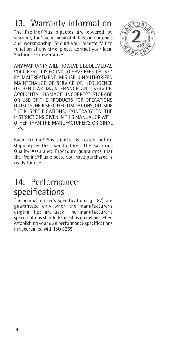## 13. Warranty information

The Proline®Plus pipettes are covered by warranty for 2 years against defects in materials and workmanship. Should your pipette fail to function at any time, please contact your local Sartorius representative.



ANY WARRANTY WILL, HOWEVER, BE DEEMED AS VOID IF FAULT IS FOUND TO HAVE BEEN CAUSED BY MALTREATMENT, MISUSE, UNAUTHORIZED MAINTENANCE OF SERVICE OR NEGLIGENCE OF REGULAR MAINTENANCE AND SERVICE, ACCIDENTAL DAMAGE, INCORRECT STORAGE OR USE OF THE PRODUCTS FOR OPERATIONS OUTSIDE THEIR SPECIFIED LIMITATIONS, OUTSIDE THEIR SPECIFICATIONS, CONTRARY TO THE INSTRUCTIONS GIVEN IN THIS MANUAL OR WITH OTHER THAN THE MANUFACTURER'S ORIGINAL TIPS.

Each Proline®Plus pipette is tested before shipping by the manufacturer. The Sartorius Quality Assurance Procedure guarantees that the Proline®Plus pipette you have purchased is ready for use.

## 14. Performance specifications

The manufacturer's specifications (p. 97) are guaranteed only when the manufacturer's original tips are used. The manufacturer's specifications should be used as guidelines when establishing your own performance specifications in accordance with ISO 8655.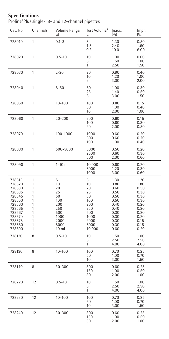#### Specifications

Proline®Plus single-, 8- and 12-channel pipettes

| Cat. No                                                                                                                        | Channels                                                      | Volume Range<br>μl                                                                               | Test Volume/<br>μl                                                                      | Inacc.<br>(9/0)                                                                                      | Impr.<br>(%)                                                                                         |
|--------------------------------------------------------------------------------------------------------------------------------|---------------------------------------------------------------|--------------------------------------------------------------------------------------------------|-----------------------------------------------------------------------------------------|------------------------------------------------------------------------------------------------------|------------------------------------------------------------------------------------------------------|
| 728010                                                                                                                         | 1                                                             | $0.1 - 3$                                                                                        | 3<br>1.5<br>0.3                                                                         | 1.30<br>2.40<br>10.0                                                                                 | 0.80<br>1.60<br>6.00                                                                                 |
| 728020                                                                                                                         | 1                                                             | $0.5 - 10$                                                                                       | 10<br>5<br>1                                                                            | 1.00<br>1.50<br>2.50                                                                                 | 0.60<br>1.00<br>1.50                                                                                 |
| 728030                                                                                                                         | 1                                                             | $2 - 20$                                                                                         | 20<br>10<br>$\overline{\mathbf{c}}$                                                     | 0.90<br>1.20<br>3.00                                                                                 | 0.40<br>1.00<br>2.00                                                                                 |
| 728040                                                                                                                         | 1                                                             | $5 - 50$                                                                                         | 50<br>25<br>5                                                                           | 1.00<br>1.40<br>3.00                                                                                 | 0.30<br>0.50<br>1.50                                                                                 |
| 728050                                                                                                                         | 1                                                             | $10 - 100$                                                                                       | 100<br>50<br>10                                                                         | 0.80<br>1.00<br>2.00                                                                                 | 0.15<br>0.40<br>1.00                                                                                 |
| 728060                                                                                                                         | 1                                                             | 20-200                                                                                           | 200<br>100<br>20                                                                        | 0.60<br>0.80<br>2.00                                                                                 | 0.15<br>0.30<br>0.80                                                                                 |
| 728070                                                                                                                         | 1                                                             | 100-1000                                                                                         | 1000<br>500<br>100                                                                      | 0.60<br>0.60<br>1.00                                                                                 | 0.20<br>0.20<br>0.40                                                                                 |
| 728080                                                                                                                         | 1                                                             | 500-5000                                                                                         | 5000<br>2500<br>500                                                                     | 0.50<br>0.60<br>2.00                                                                                 | 0.20<br>0.30<br>0.60                                                                                 |
| 728090                                                                                                                         | 1                                                             | $1-10$ ml                                                                                        | 10 000<br>5000<br>1000                                                                  | 0.60<br>1.20<br>3.00                                                                                 | 0.20<br>0.30<br>0.60                                                                                 |
| 728515<br>728520<br>728530<br>728535<br>728545<br>728550<br>728560<br>728565<br>728567<br>728570<br>728575<br>728580<br>728590 | 1<br>1<br>1<br>1<br>1<br>1<br>1<br>1<br>1<br>1<br>1<br>1<br>1 | 5<br>10<br>20<br>25<br>50<br>100<br>200<br>250<br>500<br>1000<br>2000<br>5000<br>10 <sub>m</sub> | 5<br>10<br>20<br>25<br>50<br>100<br>200<br>250<br>500<br>1000<br>2000<br>5000<br>10 000 | 1.30<br>0.80<br>0.60<br>0.50<br>0.50<br>0.50<br>0.40<br>0.40<br>0.30<br>0.30<br>0.30<br>0.30<br>0.60 | 1.20<br>1.80<br>0.50<br>0.30<br>0.30<br>0.30<br>0.20<br>0.20<br>0.20<br>0.20<br>0.15<br>0.15<br>0.20 |
| 728120                                                                                                                         | 8                                                             | $0.5 - 10$                                                                                       | 10<br>5<br>1                                                                            | 1.50<br>2.50<br>4.00                                                                                 | 1.00<br>2.50<br>4.00                                                                                 |
| 728130                                                                                                                         | 8                                                             | $10 - 100$                                                                                       | 100<br>50<br>10                                                                         | 0.70<br>1.00<br>3.00                                                                                 | 0.25<br>0.70<br>1.50                                                                                 |
| 728140                                                                                                                         | 8                                                             | 30-300                                                                                           | 300<br>150<br>30                                                                        | 0.60<br>1.00<br>2.00                                                                                 | 0.25<br>0.50<br>1.00                                                                                 |
| 728220                                                                                                                         | 12                                                            | $0.5 - 10$                                                                                       | 10<br>5<br>1                                                                            | 1.50<br>2.50<br>4.00                                                                                 | 1.00<br>2.50<br>4.00                                                                                 |
| 728230                                                                                                                         | 12                                                            | $10 - 100$                                                                                       | 100<br>50<br>10                                                                         | 0.70<br>1.00<br>3.00                                                                                 | 0.25<br>0.70<br>1.50                                                                                 |
| 728240                                                                                                                         | 12                                                            | 30-300                                                                                           | 300<br>150<br>30                                                                        | 0.60<br>1.00<br>2.00                                                                                 | 0.25<br>0.50<br>1.00                                                                                 |